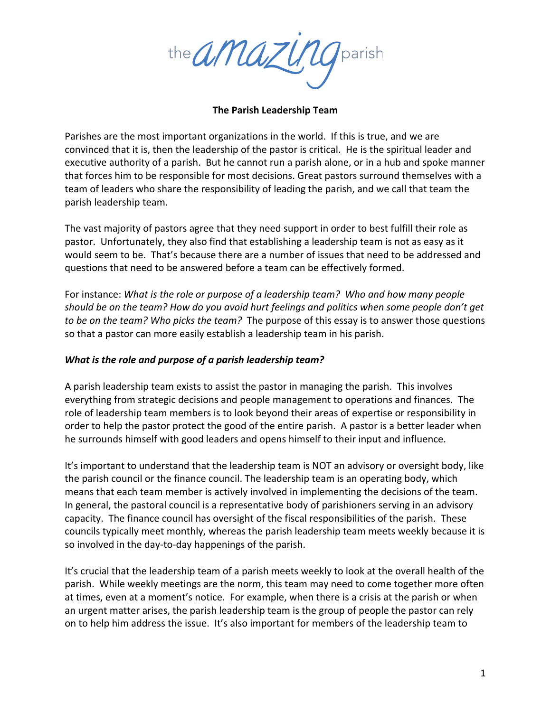the amazune

#### **The Parish Leadership Team**

Parishes are the most important organizations in the world. If this is true, and we are convinced that it is, then the leadership of the pastor is critical. He is the spiritual leader and executive authority of a parish. But he cannot run a parish alone, or in a hub and spoke manner that forces him to be responsible for most decisions. Great pastors surround themselves with a team of leaders who share the responsibility of leading the parish, and we call that team the parish leadership team.

The vast majority of pastors agree that they need support in order to best fulfill their role as pastor. Unfortunately, they also find that establishing a leadership team is not as easy as it would seem to be. That's because there are a number of issues that need to be addressed and questions that need to be answered before a team can be effectively formed.

For instance: *What is the role or purpose of a leadership team?* Who and how many people should be on the team? How do you avoid hurt feelings and politics when some people don't get *to be on the team?* Who picks the team? The purpose of this essay is to answer those questions so that a pastor can more easily establish a leadership team in his parish.

### *What is the role and purpose of a parish leadership team?*

A parish leadership team exists to assist the pastor in managing the parish. This involves everything from strategic decisions and people management to operations and finances. The role of leadership team members is to look beyond their areas of expertise or responsibility in order to help the pastor protect the good of the entire parish. A pastor is a better leader when he surrounds himself with good leaders and opens himself to their input and influence.

It's important to understand that the leadership team is NOT an advisory or oversight body, like the parish council or the finance council. The leadership team is an operating body, which means that each team member is actively involved in implementing the decisions of the team. In general, the pastoral council is a representative body of parishioners serving in an advisory capacity. The finance council has oversight of the fiscal responsibilities of the parish. These councils typically meet monthly, whereas the parish leadership team meets weekly because it is so involved in the day-to-day happenings of the parish.

It's crucial that the leadership team of a parish meets weekly to look at the overall health of the parish. While weekly meetings are the norm, this team may need to come together more often at times, even at a moment's notice. For example, when there is a crisis at the parish or when an urgent matter arises, the parish leadership team is the group of people the pastor can rely on to help him address the issue. It's also important for members of the leadership team to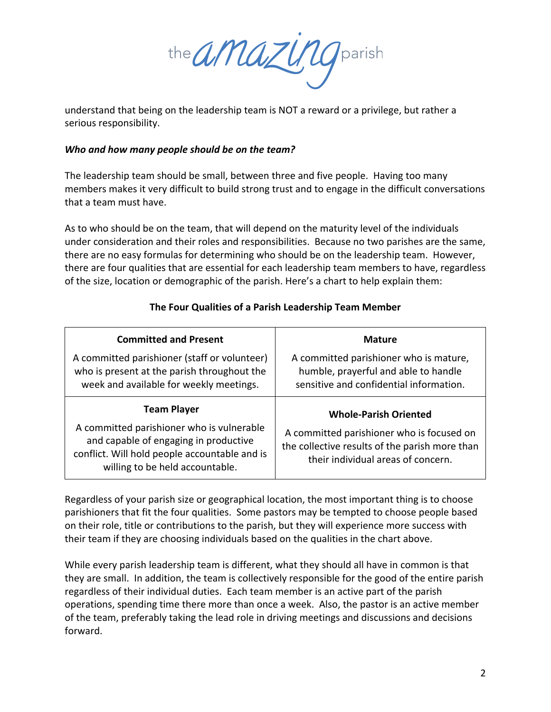the *amazung* parish

understand that being on the leadership team is NOT a reward or a privilege, but rather a serious responsibility.

### *Who* and how many people should be on the team?

The leadership team should be small, between three and five people. Having too many members makes it very difficult to build strong trust and to engage in the difficult conversations that a team must have.

As to who should be on the team, that will depend on the maturity level of the individuals under consideration and their roles and responsibilities. Because no two parishes are the same, there are no easy formulas for determining who should be on the leadership team. However, there are four qualities that are essential for each leadership team members to have, regardless of the size, location or demographic of the parish. Here's a chart to help explain them:

| <b>Committed and Present</b>                                                                                                                                                                 | <b>Mature</b>                                                                                                                                                     |
|----------------------------------------------------------------------------------------------------------------------------------------------------------------------------------------------|-------------------------------------------------------------------------------------------------------------------------------------------------------------------|
| A committed parishioner (staff or volunteer)<br>who is present at the parish throughout the<br>week and available for weekly meetings.                                                       | A committed parishioner who is mature,<br>humble, prayerful and able to handle<br>sensitive and confidential information.                                         |
| <b>Team Player</b><br>A committed parishioner who is vulnerable<br>and capable of engaging in productive<br>conflict. Will hold people accountable and is<br>willing to be held accountable. | <b>Whole-Parish Oriented</b><br>A committed parishioner who is focused on<br>the collective results of the parish more than<br>their individual areas of concern. |

# The Four Qualities of a Parish Leadership Team Member

Regardless of your parish size or geographical location, the most important thing is to choose parishioners that fit the four qualities. Some pastors may be tempted to choose people based on their role, title or contributions to the parish, but they will experience more success with their team if they are choosing individuals based on the qualities in the chart above.

While every parish leadership team is different, what they should all have in common is that they are small. In addition, the team is collectively responsible for the good of the entire parish regardless of their individual duties. Each team member is an active part of the parish operations, spending time there more than once a week. Also, the pastor is an active member of the team, preferably taking the lead role in driving meetings and discussions and decisions forward.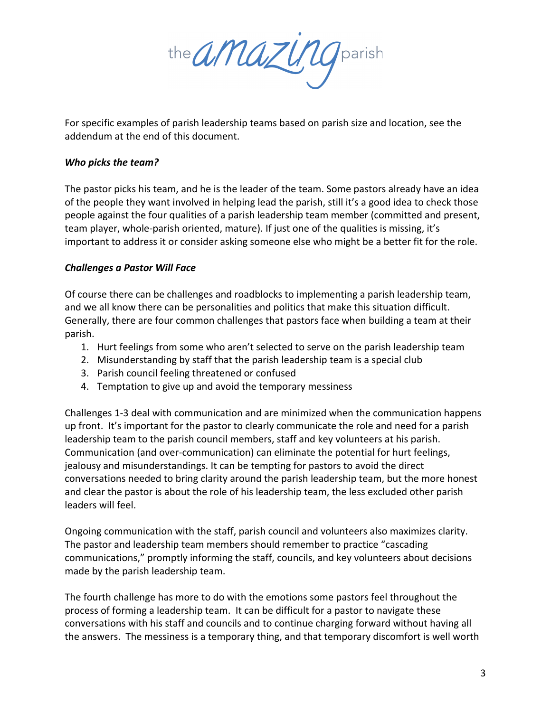the *amazung* parish

For specific examples of parish leadership teams based on parish size and location, see the addendum at the end of this document.

## *Who picks the team?*

The pastor picks his team, and he is the leader of the team. Some pastors already have an idea of the people they want involved in helping lead the parish, still it's a good idea to check those people against the four qualities of a parish leadership team member (committed and present, team player, whole-parish oriented, mature). If just one of the qualities is missing, it's important to address it or consider asking someone else who might be a better fit for the role.

## *Challenges a Pastor Will Face*

Of course there can be challenges and roadblocks to implementing a parish leadership team, and we all know there can be personalities and politics that make this situation difficult. Generally, there are four common challenges that pastors face when building a team at their parish.

- 1. Hurt feelings from some who aren't selected to serve on the parish leadership team
- 2. Misunderstanding by staff that the parish leadership team is a special club
- 3. Parish council feeling threatened or confused
- 4. Temptation to give up and avoid the temporary messiness

Challenges 1-3 deal with communication and are minimized when the communication happens up front. It's important for the pastor to clearly communicate the role and need for a parish leadership team to the parish council members, staff and key volunteers at his parish. Communication (and over-communication) can eliminate the potential for hurt feelings, jealousy and misunderstandings. It can be tempting for pastors to avoid the direct conversations needed to bring clarity around the parish leadership team, but the more honest and clear the pastor is about the role of his leadership team, the less excluded other parish leaders will feel.

Ongoing communication with the staff, parish council and volunteers also maximizes clarity. The pastor and leadership team members should remember to practice "cascading communications," promptly informing the staff, councils, and key volunteers about decisions made by the parish leadership team.

The fourth challenge has more to do with the emotions some pastors feel throughout the process of forming a leadership team. It can be difficult for a pastor to navigate these conversations with his staff and councils and to continue charging forward without having all the answers. The messiness is a temporary thing, and that temporary discomfort is well worth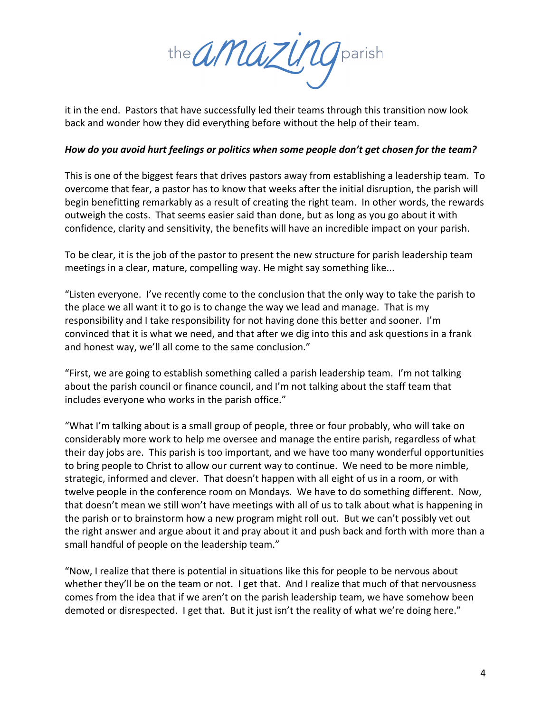the *amazung* parish

it in the end. Pastors that have successfully led their teams through this transition now look back and wonder how they did everything before without the help of their team.

### *How do you avoid hurt feelings or politics when some people don't get chosen for the team?*

This is one of the biggest fears that drives pastors away from establishing a leadership team. To overcome that fear, a pastor has to know that weeks after the initial disruption, the parish will begin benefitting remarkably as a result of creating the right team. In other words, the rewards outweigh the costs. That seems easier said than done, but as long as you go about it with confidence, clarity and sensitivity, the benefits will have an incredible impact on your parish.

To be clear, it is the job of the pastor to present the new structure for parish leadership team meetings in a clear, mature, compelling way. He might say something like...

"Listen everyone. I've recently come to the conclusion that the only way to take the parish to the place we all want it to go is to change the way we lead and manage. That is my responsibility and I take responsibility for not having done this better and sooner. I'm convinced that it is what we need, and that after we dig into this and ask questions in a frank and honest way, we'll all come to the same conclusion."

"First, we are going to establish something called a parish leadership team. I'm not talking about the parish council or finance council, and I'm not talking about the staff team that includes everyone who works in the parish office."

"What I'm talking about is a small group of people, three or four probably, who will take on considerably more work to help me oversee and manage the entire parish, regardless of what their day jobs are. This parish is too important, and we have too many wonderful opportunities to bring people to Christ to allow our current way to continue. We need to be more nimble, strategic, informed and clever. That doesn't happen with all eight of us in a room, or with twelve people in the conference room on Mondays. We have to do something different. Now, that doesn't mean we still won't have meetings with all of us to talk about what is happening in the parish or to brainstorm how a new program might roll out. But we can't possibly vet out the right answer and argue about it and pray about it and push back and forth with more than a small handful of people on the leadership team."

"Now, I realize that there is potential in situations like this for people to be nervous about whether they'll be on the team or not. I get that. And I realize that much of that nervousness comes from the idea that if we aren't on the parish leadership team, we have somehow been demoted or disrespected. I get that. But it just isn't the reality of what we're doing here."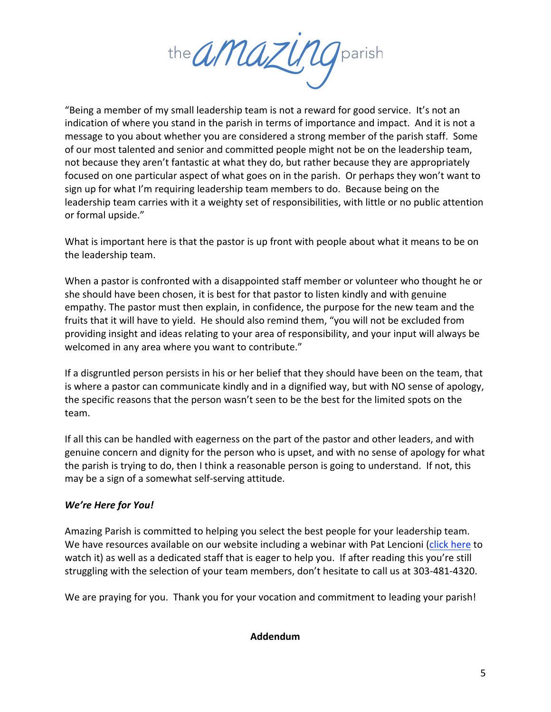the *amazung* parish

"Being a member of my small leadership team is not a reward for good service. It's not an indication of where you stand in the parish in terms of importance and impact. And it is not a message to you about whether you are considered a strong member of the parish staff. Some of our most talented and senior and committed people might not be on the leadership team, not because they aren't fantastic at what they do, but rather because they are appropriately focused on one particular aspect of what goes on in the parish. Or perhaps they won't want to sign up for what I'm requiring leadership team members to do. Because being on the leadership team carries with it a weighty set of responsibilities, with little or no public attention or formal upside."

What is important here is that the pastor is up front with people about what it means to be on the leadership team.

When a pastor is confronted with a disappointed staff member or volunteer who thought he or she should have been chosen, it is best for that pastor to listen kindly and with genuine empathy. The pastor must then explain, in confidence, the purpose for the new team and the fruits that it will have to yield. He should also remind them, "you will not be excluded from providing insight and ideas relating to your area of responsibility, and your input will always be welcomed in any area where you want to contribute."

If a disgruntled person persists in his or her belief that they should have been on the team, that is where a pastor can communicate kindly and in a dignified way, but with NO sense of apology, the specific reasons that the person wasn't seen to be the best for the limited spots on the team. 

If all this can be handled with eagerness on the part of the pastor and other leaders, and with genuine concern and dignity for the person who is upset, and with no sense of apology for what the parish is trying to do, then I think a reasonable person is going to understand. If not, this may be a sign of a somewhat self-serving attitude.

# *We're Here for You!*

Amazing Parish is committed to helping you select the best people for your leadership team. We have resources available on our website including a webinar with Pat Lencioni (click here to watch it) as well as a dedicated staff that is eager to help you. If after reading this you're still struggling with the selection of your team members, don't hesitate to call us at 303-481-4320.

We are praying for you. Thank you for your vocation and commitment to leading your parish!

### **Addendum**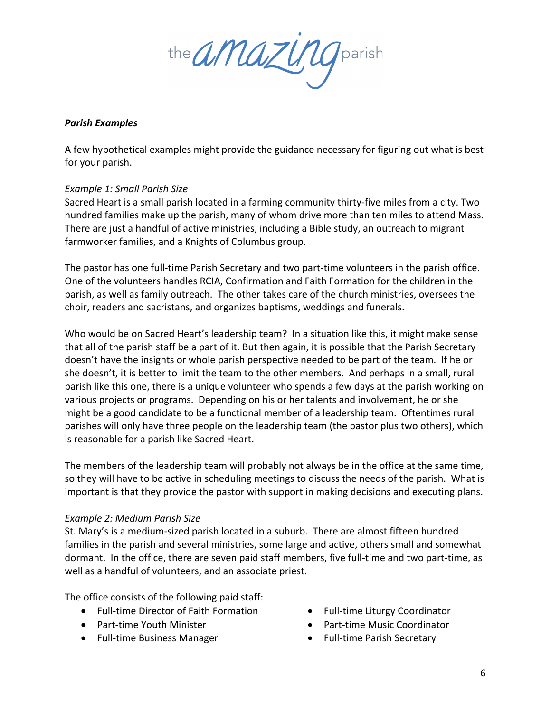the *amazung* parish

## *Parish Examples*

A few hypothetical examples might provide the guidance necessary for figuring out what is best for your parish.

### *Example 1: Small Parish Size*

Sacred Heart is a small parish located in a farming community thirty-five miles from a city. Two hundred families make up the parish, many of whom drive more than ten miles to attend Mass. There are just a handful of active ministries, including a Bible study, an outreach to migrant farmworker families, and a Knights of Columbus group.

The pastor has one full-time Parish Secretary and two part-time volunteers in the parish office. One of the volunteers handles RCIA, Confirmation and Faith Formation for the children in the parish, as well as family outreach. The other takes care of the church ministries, oversees the choir, readers and sacristans, and organizes baptisms, weddings and funerals.

Who would be on Sacred Heart's leadership team? In a situation like this, it might make sense that all of the parish staff be a part of it. But then again, it is possible that the Parish Secretary doesn't have the insights or whole parish perspective needed to be part of the team. If he or she doesn't, it is better to limit the team to the other members. And perhaps in a small, rural parish like this one, there is a unique volunteer who spends a few days at the parish working on various projects or programs. Depending on his or her talents and involvement, he or she might be a good candidate to be a functional member of a leadership team. Oftentimes rural parishes will only have three people on the leadership team (the pastor plus two others), which is reasonable for a parish like Sacred Heart.

The members of the leadership team will probably not always be in the office at the same time, so they will have to be active in scheduling meetings to discuss the needs of the parish. What is important is that they provide the pastor with support in making decisions and executing plans.

### *Example 2: Medium Parish Size*

St. Mary's is a medium-sized parish located in a suburb. There are almost fifteen hundred families in the parish and several ministries, some large and active, others small and somewhat dormant. In the office, there are seven paid staff members, five full-time and two part-time, as well as a handful of volunteers, and an associate priest.

The office consists of the following paid staff:

- Full-time Director of Faith Formation
- Part-time Youth Minister
- Full-time Business Manager
- Full-time Liturgy Coordinator
- Part-time Music Coordinator
- Full-time Parish Secretary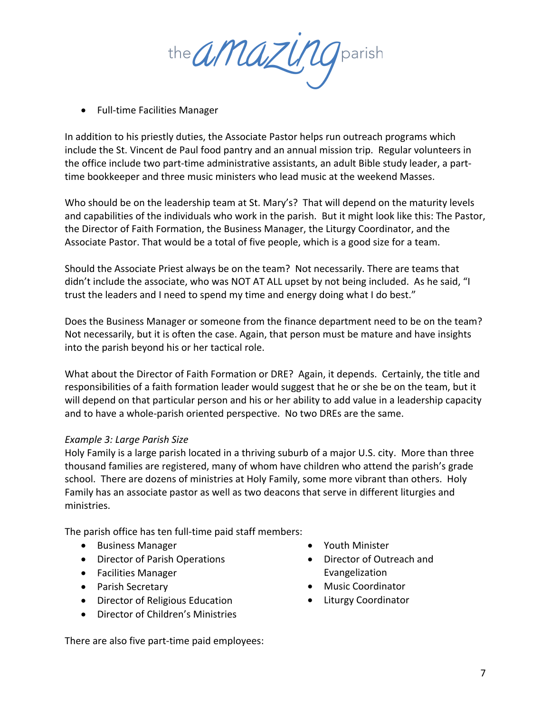the *amazung* parish

• Full-time Facilities Manager

In addition to his priestly duties, the Associate Pastor helps run outreach programs which include the St. Vincent de Paul food pantry and an annual mission trip. Regular volunteers in the office include two part-time administrative assistants, an adult Bible study leader, a parttime bookkeeper and three music ministers who lead music at the weekend Masses.

Who should be on the leadership team at St. Mary's? That will depend on the maturity levels and capabilities of the individuals who work in the parish. But it might look like this: The Pastor, the Director of Faith Formation, the Business Manager, the Liturgy Coordinator, and the Associate Pastor. That would be a total of five people, which is a good size for a team.

Should the Associate Priest always be on the team? Not necessarily. There are teams that didn't include the associate, who was NOT AT ALL upset by not being included. As he said, "I trust the leaders and I need to spend my time and energy doing what I do best."

Does the Business Manager or someone from the finance department need to be on the team? Not necessarily, but it is often the case. Again, that person must be mature and have insights into the parish beyond his or her tactical role.

What about the Director of Faith Formation or DRE? Again, it depends. Certainly, the title and responsibilities of a faith formation leader would suggest that he or she be on the team, but it will depend on that particular person and his or her ability to add value in a leadership capacity and to have a whole-parish oriented perspective. No two DREs are the same.

### *Example 3: Large Parish Size*

Holy Family is a large parish located in a thriving suburb of a major U.S. city. More than three thousand families are registered, many of whom have children who attend the parish's grade school. There are dozens of ministries at Holy Family, some more vibrant than others. Holy Family has an associate pastor as well as two deacons that serve in different liturgies and ministries.

The parish office has ten full-time paid staff members:

- Business Manager
- Director of Parish Operations
- Facilities Manager
- Parish Secretary
- Director of Religious Education
- Director of Children's Ministries

There are also five part-time paid employees:

- Youth Minister
- Director of Outreach and Evangelization
- Music Coordinator
- Liturgy Coordinator